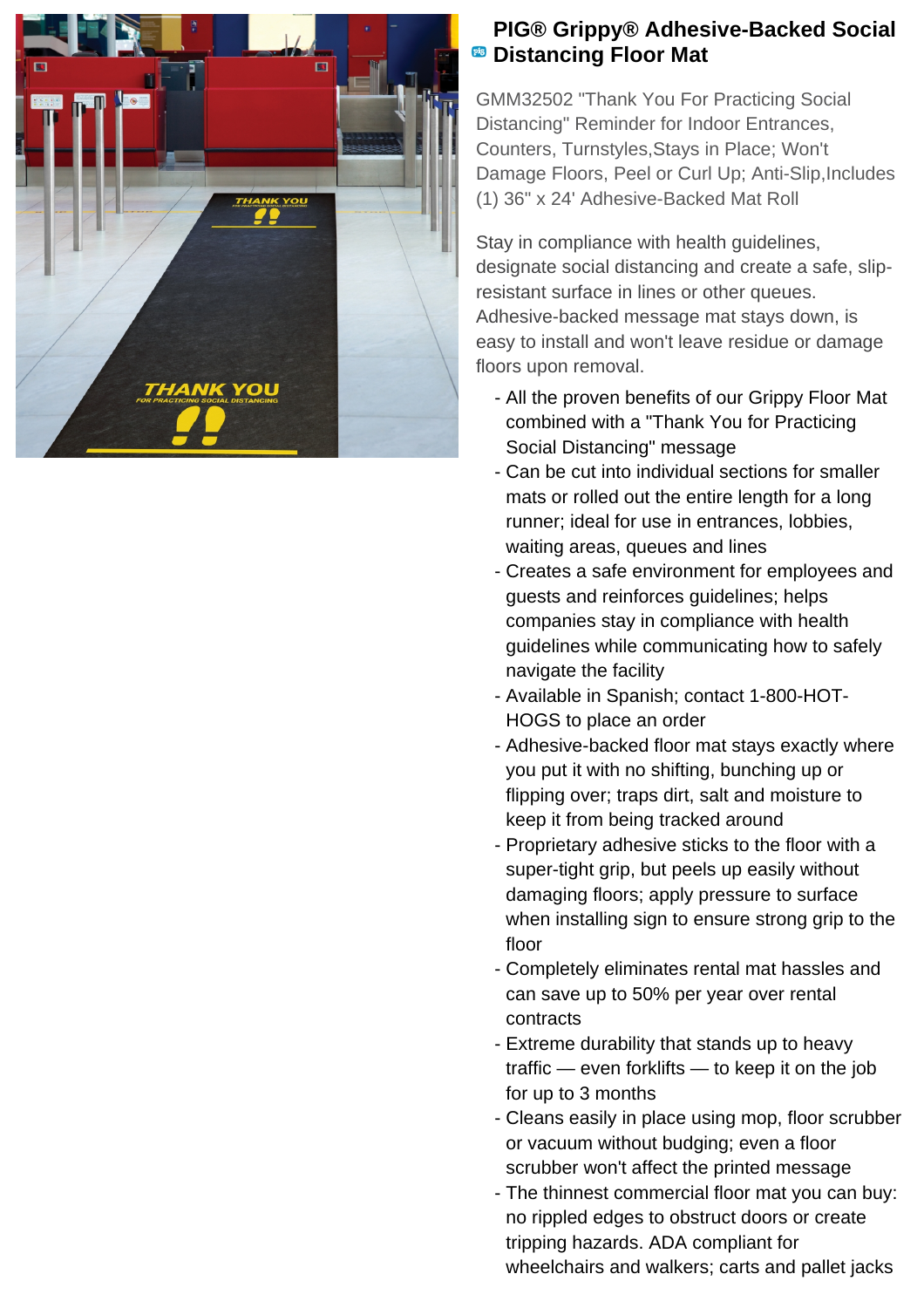

## **PIG® Grippy® Adhesive-Backed Social <sup><b>B</sup>** Distancing Floor Mat</sup>

GMM32502 "Thank You For Practicing Social Distancing" Reminder for Indoor Entrances, Counters, Turnstyles,Stays in Place; Won't Damage Floors, Peel or Curl Up; Anti-Slip,Includes (1) 36" x 24' Adhesive-Backed Mat Roll

Stay in compliance with health guidelines, designate social distancing and create a safe, slipresistant surface in lines or other queues. Adhesive-backed message mat stays down, is easy to install and won't leave residue or damage floors upon removal.

- All the proven benefits of our Grippy Floor Mat combined with a "Thank You for Practicing Social Distancing" message
- Can be cut into individual sections for smaller mats or rolled out the entire length for a long runner; ideal for use in entrances, lobbies, waiting areas, queues and lines
- Creates a safe environment for employees and guests and reinforces guidelines; helps companies stay in compliance with health guidelines while communicating how to safely navigate the facility
- Available in Spanish; contact 1-800-HOT-HOGS to place an order
- Adhesive-backed floor mat stays exactly where you put it with no shifting, bunching up or flipping over; traps dirt, salt and moisture to keep it from being tracked around
- Proprietary adhesive sticks to the floor with a super-tight grip, but peels up easily without damaging floors; apply pressure to surface when installing sign to ensure strong grip to the floor
- Completely eliminates rental mat hassles and can save up to 50% per year over rental contracts
- Extreme durability that stands up to heavy traffic — even forklifts — to keep it on the job for up to 3 months
- Cleans easily in place using mop, floor scrubber or vacuum without budging; even a floor scrubber won't affect the printed message
- The thinnest commercial floor mat you can buy: no rippled edges to obstruct doors or create tripping hazards. ADA compliant for wheelchairs and walkers; carts and pallet jacks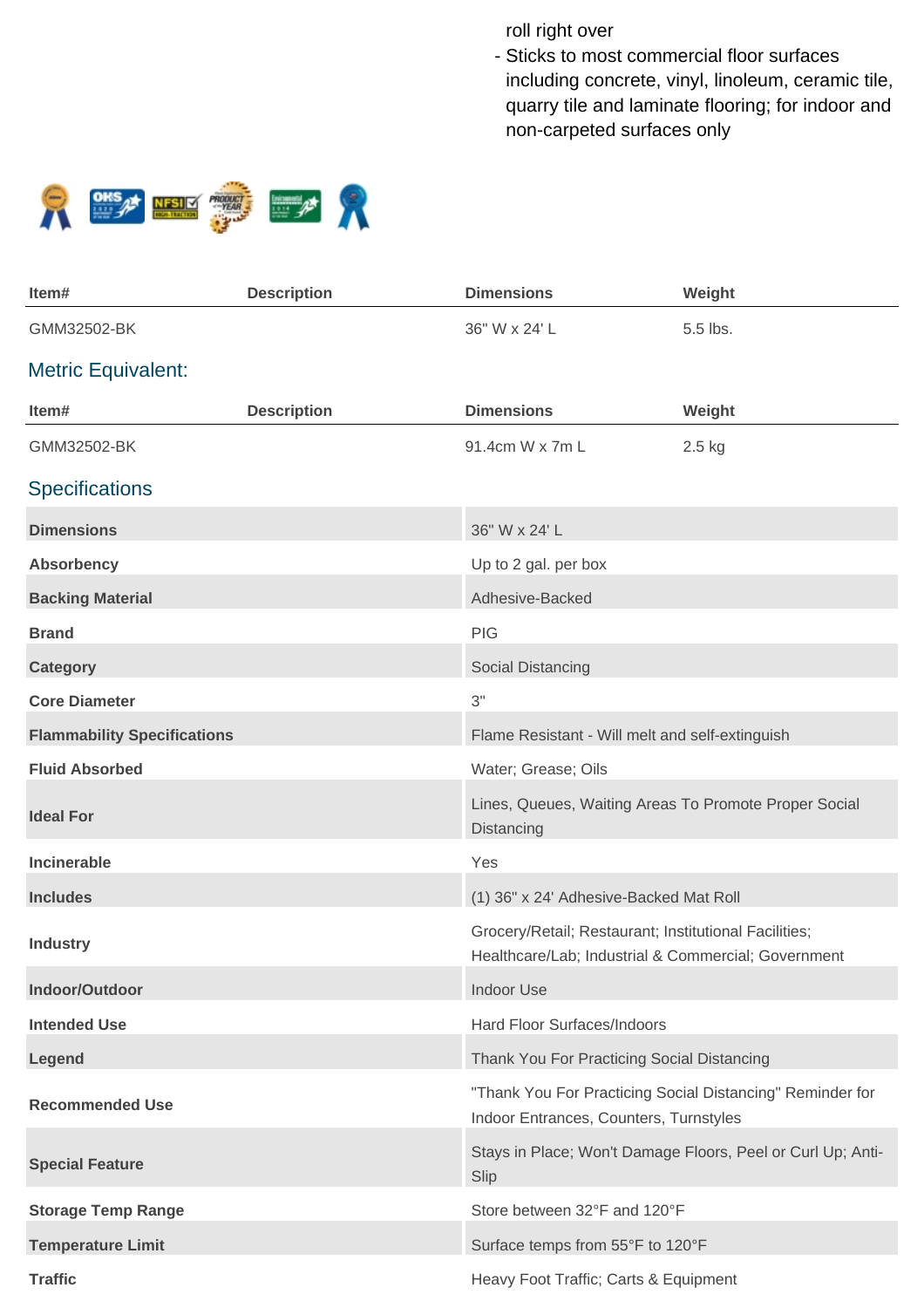roll right over

- Sticks to most commercial floor surfaces including concrete, vinyl, linoleum, ceramic tile, quarry tile and laminate flooring; for indoor and non-carpeted surfaces only



| Item#                              | <b>Description</b> | <b>Dimensions</b>                                                                                            | Weight                                                      |
|------------------------------------|--------------------|--------------------------------------------------------------------------------------------------------------|-------------------------------------------------------------|
| GMM32502-BK                        |                    | 36" W x 24' L                                                                                                | 5.5 lbs.                                                    |
| <b>Metric Equivalent:</b>          |                    |                                                                                                              |                                                             |
| Item#                              | <b>Description</b> | <b>Dimensions</b>                                                                                            | Weight                                                      |
| GMM32502-BK                        |                    | 91.4cm W x 7m L                                                                                              | 2.5 kg                                                      |
| <b>Specifications</b>              |                    |                                                                                                              |                                                             |
| <b>Dimensions</b>                  |                    | 36" W x 24' L                                                                                                |                                                             |
| <b>Absorbency</b>                  |                    | Up to 2 gal. per box                                                                                         |                                                             |
| <b>Backing Material</b>            |                    | Adhesive-Backed                                                                                              |                                                             |
| <b>Brand</b>                       |                    | <b>PIG</b>                                                                                                   |                                                             |
| <b>Category</b>                    |                    | Social Distancing                                                                                            |                                                             |
| <b>Core Diameter</b>               |                    | 3"                                                                                                           |                                                             |
| <b>Flammability Specifications</b> |                    | Flame Resistant - Will melt and self-extinguish                                                              |                                                             |
| <b>Fluid Absorbed</b>              |                    | Water; Grease; Oils                                                                                          |                                                             |
| <b>Ideal For</b>                   |                    | Lines, Queues, Waiting Areas To Promote Proper Social<br>Distancing                                          |                                                             |
| Incinerable                        |                    | Yes                                                                                                          |                                                             |
| <b>Includes</b>                    |                    | (1) 36" x 24' Adhesive-Backed Mat Roll                                                                       |                                                             |
| <b>Industry</b>                    |                    | Grocery/Retail; Restaurant; Institutional Facilities;<br>Healthcare/Lab; Industrial & Commercial; Government |                                                             |
| Indoor/Outdoor                     |                    | Indoor Use                                                                                                   |                                                             |
| <b>Intended Use</b>                |                    | Hard Floor Surfaces/Indoors                                                                                  |                                                             |
| Legend                             |                    | Thank You For Practicing Social Distancing                                                                   |                                                             |
| <b>Recommended Use</b>             |                    | "Thank You For Practicing Social Distancing" Reminder for<br>Indoor Entrances, Counters, Turnstyles          |                                                             |
| <b>Special Feature</b>             |                    | Slip                                                                                                         | Stays in Place; Won't Damage Floors, Peel or Curl Up; Anti- |
| <b>Storage Temp Range</b>          |                    | Store between 32°F and 120°F                                                                                 |                                                             |
| <b>Temperature Limit</b>           |                    | Surface temps from 55°F to 120°F                                                                             |                                                             |
| <b>Traffic</b>                     |                    | Heavy Foot Traffic; Carts & Equipment                                                                        |                                                             |